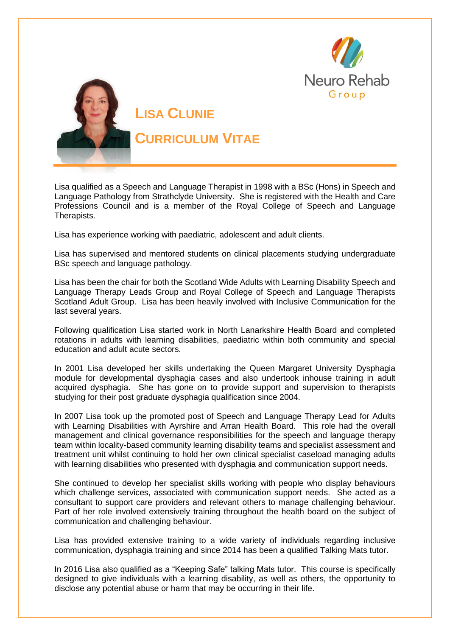



**CURRICULUM VITAE**

Lisa qualified as a Speech and Language Therapist in 1998 with a BSc (Hons) in Speech and Language Pathology from Strathclyde University. She is registered with the Health and Care Professions Council and is a member of the Royal College of Speech and Language Therapists.

Lisa has experience working with paediatric, adolescent and adult clients.

Lisa has supervised and mentored students on clinical placements studying undergraduate BSc speech and language pathology.

Lisa has been the chair for both the Scotland Wide Adults with Learning Disability Speech and Language Therapy Leads Group and Royal College of Speech and Language Therapists Scotland Adult Group. Lisa has been heavily involved with Inclusive Communication for the last several years.

Following qualification Lisa started work in North Lanarkshire Health Board and completed rotations in adults with learning disabilities, paediatric within both community and special education and adult acute sectors.

In 2001 Lisa developed her skills undertaking the Queen Margaret University Dysphagia module for developmental dysphagia cases and also undertook inhouse training in adult acquired dysphagia. She has gone on to provide support and supervision to therapists studying for their post graduate dysphagia qualification since 2004.

In 2007 Lisa took up the promoted post of Speech and Language Therapy Lead for Adults with Learning Disabilities with Ayrshire and Arran Health Board. This role had the overall management and clinical governance responsibilities for the speech and language therapy team within locality-based community learning disability teams and specialist assessment and treatment unit whilst continuing to hold her own clinical specialist caseload managing adults with learning disabilities who presented with dysphagia and communication support needs.

She continued to develop her specialist skills working with people who display behaviours which challenge services, associated with communication support needs. She acted as a consultant to support care providers and relevant others to manage challenging behaviour. Part of her role involved extensively training throughout the health board on the subject of communication and challenging behaviour.

Lisa has provided extensive training to a wide variety of individuals regarding inclusive communication, dysphagia training and since 2014 has been a qualified Talking Mats tutor.

In 2016 Lisa also qualified as a "Keeping Safe" talking Mats tutor. This course is specifically designed to give individuals with a learning disability, as well as others, the opportunity to disclose any potential abuse or harm that may be occurring in their life.